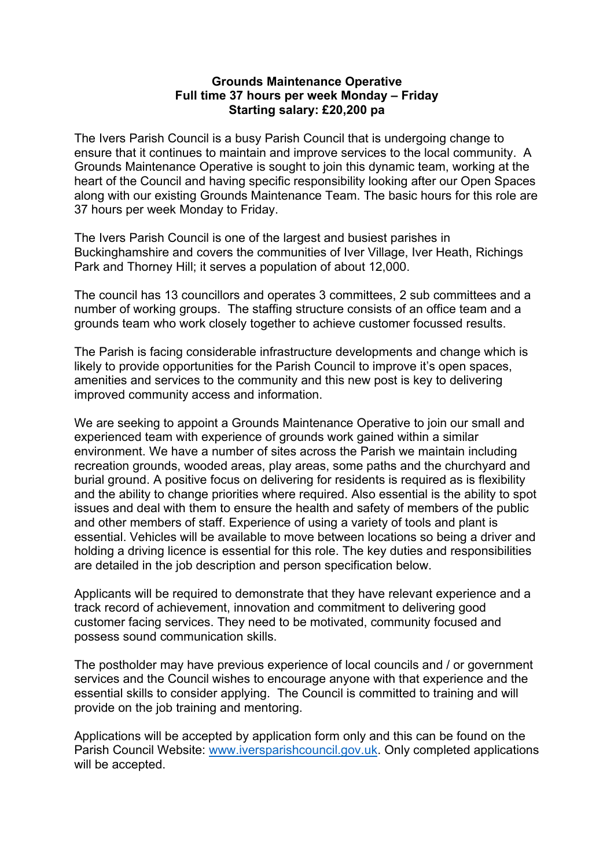## **Grounds Maintenance Operative Full time 37 hours per week Monday – Friday Starting salary: £20,200 pa**

The Ivers Parish Council is a busy Parish Council that is undergoing change to ensure that it continues to maintain and improve services to the local community. A Grounds Maintenance Operative is sought to join this dynamic team, working at the heart of the Council and having specific responsibility looking after our Open Spaces along with our existing Grounds Maintenance Team. The basic hours for this role are 37 hours per week Monday to Friday.

The Ivers Parish Council is one of the largest and busiest parishes in Buckinghamshire and covers the communities of Iver Village, Iver Heath, Richings Park and Thorney Hill; it serves a population of about 12,000.

The council has 13 councillors and operates 3 committees, 2 sub committees and a number of working groups. The staffing structure consists of an office team and a grounds team who work closely together to achieve customer focussed results.

The Parish is facing considerable infrastructure developments and change which is likely to provide opportunities for the Parish Council to improve it's open spaces, amenities and services to the community and this new post is key to delivering improved community access and information.

We are seeking to appoint a Grounds Maintenance Operative to join our small and experienced team with experience of grounds work gained within a similar environment. We have a number of sites across the Parish we maintain including recreation grounds, wooded areas, play areas, some paths and the churchyard and burial ground. A positive focus on delivering for residents is required as is flexibility and the ability to change priorities where required. Also essential is the ability to spot issues and deal with them to ensure the health and safety of members of the public and other members of staff. Experience of using a variety of tools and plant is essential. Vehicles will be available to move between locations so being a driver and holding a driving licence is essential for this role. The key duties and responsibilities are detailed in the job description and person specification below.

Applicants will be required to demonstrate that they have relevant experience and a track record of achievement, innovation and commitment to delivering good customer facing services. They need to be motivated, community focused and possess sound communication skills.

The postholder may have previous experience of local councils and / or government services and the Council wishes to encourage anyone with that experience and the essential skills to consider applying. The Council is committed to training and will provide on the job training and mentoring.

Applications will be accepted by application form only and this can be found on the Parish Council Website: [www.iversparishcouncil.gov.uk.](http://www.iversparishcouncil.gov.uk/) Only completed applications will be accepted.